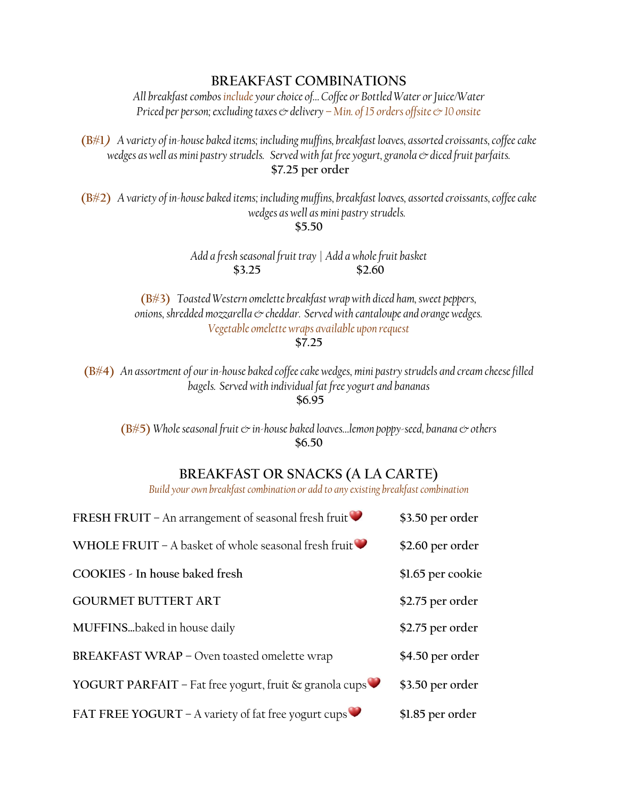## **BREAKFAST COMBINATIONS**

*All breakfast combos include your choice of… Coffee or Bottled Water orJuice/Water Priced per person; excluding taxes*  $\mathcal O$  *delivery – Min. of 15 orders offsite*  $\mathcal O$  *10 onsite* 

**(B#1)** *A variety of in-house baked items; including muffins, breakfast loaves, assorted croissants, coffee cake*  wedges as well as mini pastry strudels. Served with fat free yogurt, granola  $\infty$  diced fruit parfaits. **\$7.25 per order**

**(B#2)** *A variety of in-house baked items; including muffins, breakfast loaves, assorted croissants,coffee cake wedges as well as mini pastry strudels.*

**\$5.50**

*Add a fresh seasonal fruit tray* | *Add a whole fruit basket* **\$3.25 \$2.60**

**(B#3)** *Toasted Western omelette breakfast wrap with diced ham, sweet peppers, onions, shredded mozzarella & cheddar. Served with cantaloupe and orange wedges. Vegetable omelette wraps available upon request* **\$7.25**

**(B#4)** *An assortment of our in-house baked coffee cake wedges, mini pastry strudels and cream cheese filled bagels. Served with individual fat free yogurt and bananas* **\$6.95**

**(B#5)** *Whole seasonal fruit & in-house baked loaves…lemon poppy-seed, banana & others* **\$6.50**

## **BREAKFAST OR SNACKS (A LA CARTE)**

*Build your own breakfast combination or add to any existing breakfast combination* 

| FRESH FRUIT – An arrangement of seasonal fresh fruit $\blacktriangleright$ | \$3.50 per order  |
|----------------------------------------------------------------------------|-------------------|
| WHOLE FRUIT – A basket of whole seasonal fresh fruit $\blacktriangleright$ | \$2.60 per order  |
| COOKIES - In house baked fresh                                             | \$1.65 per cookie |
| <b>GOURMET BUTTERT ART</b>                                                 | \$2.75 per order  |
| MUFFINSbaked in house daily                                                | \$2.75 per order  |
| BREAKFAST WRAP - Oven toasted omelette wrap                                | \$4.50 per order  |
| YOGURT PARFAIT - Fat free yogurt, fruit & granola cups                     | \$3.50 per order  |
| FAT FREE YOGURT – A variety of fat free yogurt cups                        | \$1.85 per order  |